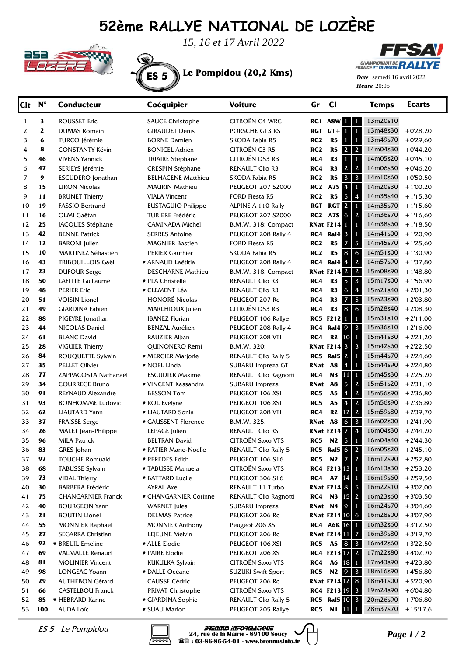## **52ème RALLYE NATIONAL DE LOZÈRE**



*15, 16 et 17 Avril 2022*



**FFSAV CHAMPIONNAT DE RALLYE** 

20:05 *Heure Date* samedi 16 avril 2022

| Clt          | $N^{\circ}$ | <b>Conducteur</b>                             | Coéquipier                             | <b>Voiture</b>                          | Gr              | $CI$                                                           | <b>Temps</b>         | Ecarts                   |
|--------------|-------------|-----------------------------------------------|----------------------------------------|-----------------------------------------|-----------------|----------------------------------------------------------------|----------------------|--------------------------|
| $\mathbf{1}$ | 3           | <b>ROUSSET Eric</b>                           | <b>SAUCE Christophe</b>                | CITROËN C4 WRC                          |                 | <b>RC1 A8W 1 1</b>                                             | 13m20s10             |                          |
| 2            | 2           | <b>DUMAS Romain</b>                           | <b>GIRAUDET Denis</b>                  | PORSCHE GT3 RS                          |                 | $RGT$ $GT + 1$ 1                                               | 13m48s30             | $+0'28,20$               |
| 3            | 6           | <b>TURCO Jérémie</b>                          | <b>BORNE Damien</b>                    | <b>SKODA Fabia R5</b>                   | RC <sub>2</sub> | R5<br>$1 \mid 1$                                               | 13m49s70             | $+0'29,60$               |
| 4            | 8           | <b>CONSTANTY Kévin</b>                        | <b>BONICEL Adrien</b>                  | <b>CITROËN C3 R5</b>                    | RC <sub>2</sub> | $22$<br>R5                                                     | 14m04s30             | $+0'44,20$               |
| 5            | 46          | <b>VIVENS Yannick</b>                         | TRIAIRE Stéphane                       | CITROËN DS3 R3                          | RC4             | R3<br>$1 \mid 1$                                               | 14m05s20             | $+0'45,10$               |
| 6            | 47          | SERIEYS Jérémie                               | <b>CRESPIN Stéphane</b>                | <b>RENAULT Clio R3</b>                  | RC4             | $2 \mid 2$<br>R3                                               | 14m06s30             | $+0'46,20$               |
| 7            | 9           | <b>ESCUDERO</b> Jonathan                      | <b>BELHACENE Matthieu</b>              | SKODA Fabia R5                          | RC <sub>2</sub> | <b>R5</b><br>$3 \mid 3$                                        | 14m10s60             | $+0'50,50$               |
| 8            | 15          | <b>LIRON Nicolas</b>                          | <b>MAURIN Mathieu</b>                  | <b>PEUGEOT 207 S2000</b>                | RC <sub>2</sub> | A7S 4<br>$\blacksquare$                                        | 14m20s30             | $+1'00,20$               |
| 9            | 11          | <b>BRUNET Thierry</b>                         | <b>VIALA Vincent</b>                   | <b>FORD Fiesta R5</b>                   | RC <sub>2</sub> | R5<br>$5 \quad 4$                                              | 14m35s40             | $+1'15,30$               |
| 10           | 19          | <b>FASSIO Bertrand</b>                        | <b>EUSTAGUIO Philippe</b>              | ALPINE A 110 Rally                      | RGT             | <b>RGT 2 1</b>                                                 | 14m35s70             | $+1'15,60$               |
| 11           | 16          | OLMI Gaëtan                                   | <b>TURIERE Frédéric</b>                | <b>PEUGEOT 207 S2000</b>                | RC2             | A7S 6 2                                                        | 14m36s70             | $+1'16,60$               |
| 12           | 25          | JACQUES Stéphane                              | <b>CAMINADA Michel</b>                 | B.M.W. 318i Compact                     |                 | <b>RNat F214 1</b>                                             | 14m38s60             | $+1'18,50$               |
| 13           | 42          | <b>BENNE Patrick</b>                          | <b>SERRES Antoine</b>                  | PEUGEOT 208 Rally 4                     |                 | <b>RC4 Ral4 3 1</b>                                            | 14m41s00             | $+1'20,90$               |
| 14           | 12          | <b>BARONI</b> Julien                          | <b>MAGNIER Bastien</b>                 | <b>FORD Fiesta R5</b>                   | RC <sub>2</sub> | R5<br>$\vert$ 5<br>$\overline{7}$                              | 14m45s70             | $+1'25,60$               |
| 15           | 10          | <b>MARTINEZ Sébastien</b>                     | <b>PERIER Gauthier</b>                 | SKODA Fabia R5                          | RC <sub>2</sub> | R5<br>8 6                                                      | 14m51s00             | $+1'30,90$               |
| 16           | 43          | <b>TRIBOUILLOIS Gaël</b>                      | ♥ ARNAUD Laëtitia                      | PEUGEOT 208 Rally 4                     | RC4             | Ral4 4 2                                                       | 14m57s90             | $+1'37,80$               |
| 17           | 23          | <b>DUFOUR Serge</b>                           | <b>DESCHARNE Mathieu</b>               | B.M.W. 318i Compact                     |                 | <b>RNat F214 2 2</b>                                           | 15m08s90             | $+1'48,80$               |
| 18           | 50          | <b>LAFITTE Guillaume</b>                      | ♥ PLA Christelle                       | <b>RENAULT Clio R3</b>                  | RC4             | $5 \mid 3$<br>R3                                               | 15m17s00             | $+1'56,90$               |
| 19           | 48          | <b>PERIER Eric</b>                            | <b>v</b> CLEMENT Léa                   | <b>RENAULT Clio R3</b>                  | RC4             | $6 \mid 4$<br>R3                                               | 15m21s40             | $+2'01,30$               |
| 20           | 51          | <b>VOISIN Lionel</b>                          | <b>HONORÉ Nicolas</b>                  | PEUGEOT 207 Rc                          | RC4             | 5<br>R3<br>$7\phantom{.0}$                                     | 15m23s90             | $+2'03,80$               |
| 21           | 49          | <b>GIARDINA Fabien</b>                        | <b>MARLHIOUX</b> Julien                | <b>CITROËN DS3 R3</b>                   | RC4             | R3<br>8 6                                                      | 15m28s40             | $+2'08,30$               |
| 22           | 88          | PIGEYRE Jonathan                              | <b>IBANEZ Florian</b>                  | PEUGEOT 106 Rallye                      |                 | RC5 F212 1 1                                                   | 15m31s10             | $+2'11,00$               |
| 23           | 44          | NICOLAS Daniel                                | <b>BENZAL Aurélien</b>                 | PEUGEOT 208 Rally 4                     | RC4             | Ral4 9 3                                                       | 15m36s10             | $+2'16,00$               |
| 24           | 61          | <b>BLANC David</b>                            | RAUZIER Alban                          | PEUGEOT 208 VTI                         | RC4             | R <sub>2</sub> 10 1                                            | 15m41s30             | $+2'21,20$               |
| 25           | 28          | <b>VIGUIER Thierry</b>                        | QUINONERO Remi                         | <b>B.M.W. 320i</b>                      |                 | <b>RNat F214 3 3</b>                                           | 15m42s60             | $+2'22,50$               |
| 26           | 84<br>35    | ROUQUETTE Sylvain                             | ♥ MERCIER Marjorie                     | <b>RENAULT Clio Rally 5</b>             |                 | <b>RC5 Ral5 2 1</b><br><b>A8</b>                               | 15m44s70<br>15m44s90 | $+2'24,60$               |
| 27<br>28     | 77          | <b>PELLET Olivier</b><br>ZAPPACOSTA Nathanaël | ♥ NOEL Linda<br><b>ESCUDIER Maxime</b> | SUBARU Impreza GT                       | RNat<br>RC4     | $\overline{4}$<br>$\blacksquare$<br>N3<br>$\blacksquare$<br>11 | 15m45s30             | $+2'24,80$               |
| 29           | 34          | <b>COURREGE Bruno</b>                         | ♥ VINCENT Kassandra                    | RENAULT Clio Ragnotti<br>SUBARU Impreza | RNat            | $5 \mid 2$<br><b>A8</b>                                        | 15m51s20             | $+2'25,20$<br>$+2'31,10$ |
| 30           | 91          | REYNAUD Alexandre                             | <b>BESSON Tom</b>                      | PEUGEOT 106 XSI                         | RC5             | A <sub>5</sub><br>$\vert$ 2<br>$\overline{4}$                  | 15m56s90             | $+2'36,80$               |
| 31           | 93          | <b>BONHOMME Ludovic</b>                       | ♥ ROL Evelyne                          | PEUGEOT 106 XSI                         | RC5             | $\overline{2}$<br>A <sub>5</sub><br>$\overline{4}$             | 15m56s90             | $+2'36,80$               |
| 32           | 62          | <b>LIAUTARD Yann</b>                          | • LIAUTARD Sonia                       | PEUGEOT 208 VTI                         | RC4             | $12 \quad 2$<br>R2                                             | 15m59s80             | $+2'39,70$               |
| 33           | 37          | <b>FRAISSE Serge</b>                          | <b>v</b> GAUSSENT Florence             | B.M.W. 325i                             | RNat A8         | $6 \mid 3$                                                     | 16m02s00             | $+2'41,90$               |
| 34           | 26          | MALET Jean-Philippe                           | LEPAGE Julien                          | <b>RENAULT Clio RS</b>                  |                 | <b>RNat F214 7 4</b>                                           | 16m04s30             | $+2'44,20$               |
| 35           | 96          | <b>MILA Patrick</b>                           | <b>BELTRAN David</b>                   | <b>CITROËN Saxo VTS</b>                 | RC5             | N <sub>2</sub> 5<br>$\blacksquare$                             | 16m04s40             | $+2'44,30$               |
| 36           | 83          | GRES Johan                                    | <b>* RATIER Marie-Noelle</b>           | <b>RENAULT Clio Rally 5</b>             |                 | <b>RC5 Ral5 6 2</b>                                            | 16m05s20             | $+2'45,10$               |
| 37           | 97          | <b>TOUCHE Romuald</b>                         | ♥ PEREDES Edith                        | PEUGEOT 106 S16                         | RC5             | N2 7 2                                                         | 16m12s90             | $+2'52,80$               |
| 38           | 68          | <b>TABUSSE Sylvain</b>                        | ▼ TABUSSE Manuela                      | <b>CITROËN Saxo VTS</b>                 |                 | RC4 F213 13 1                                                  | 16m13s30             | $+2'53,20$               |
| 39           | 73          | <b>VIDAL Thierry</b>                          | <b>* BATTARD Lucile</b>                | PEUGEOT 306 S16                         | RC4             | A7 14 1                                                        | 16m19s60             | $+2'59,50$               |
| 40           | 30          | <b>BARBERA Frédéric</b>                       | AYRAL Axel                             | RENAULT 11 Turbo                        |                 | <b>RNat F214 8 5</b>                                           | 16m22s10             | $+3'02,00$               |
| 41           | 75          | <b>CHANGARNIER Franck</b>                     | ♥ CHANGARNIER Corinne                  | RENAULT Clio Ragnotti                   | RC4             | N3 15 2                                                        | 16m23s60             | $+3'03,50$               |
| 42           | 40          | <b>BOURGEON Yann</b>                          | <b>WARNET</b> Jules                    | SUBARU Impreza                          |                 | <b>RNat N4 9 1</b>                                             | 16m24s70             | $+3'04,60$               |
| 43           | 21          | <b>BOUTIN Lionel</b>                          | <b>DELMAS Patrice</b>                  | PEUGEOT 206 Rc                          |                 | <b>RNat F214 10 6</b>                                          | 16m28s00             | $+3'07,90$               |
| 44           | 55          | <b>MONNIER Raphaël</b>                        | <b>MONNIER Anthony</b>                 | Peugeot 206 XS                          |                 | RC4 A6K 16 1                                                   | 16m32s60             | $+3'12,50$               |
| 45           | 27          | SEGARRA Christian                             | LEJEUNE Melvin                         | PEUGEOT 206 Rc                          |                 | <b>RNat F214 11 7</b>                                          | 16m39s80             | $+3'19,70$               |
| 46           | 92          | <b>* BREUIL Emeline</b>                       | ♥ ALLE Elodie                          | PEUGEOT 106 XSI                         |                 | RC5 A5 8 3                                                     | 16m42s60             | $+3'22,50$               |
| 47           | 69          | <b>VALMALLE Renaud</b>                        | • PAIRE Elodie                         | PEUGEOT 206 XS                          |                 | RC4 F21317 2                                                   | 17m22s80             | $+4'02,70$               |
| 48           | 81          | <b>MOLINIER Vincent</b>                       | <b>KUKULKA Sylvain</b>                 | CITROËN Saxo VTS                        | RC4             | A6 18 1                                                        | 17m43s90             | $+4'23,80$               |
| 49           | 98          | LONGEAC Yoann                                 | <b>v</b> DALLE Océane                  | <b>SUZUKI Swift Sport</b>               | RC5             | N <sub>2</sub> 9 3                                             | 18m16s90             | $+4'56,80$               |
| 50           | 29          | <b>AUTHEBON Gérard</b>                        | <b>CAUSSE Cédric</b>                   | PEUGEOT 206 Rc                          |                 | <b>RNat F21412 8</b>                                           | 18m41s00             | $+5'20,90$               |
| 51           | 66          | <b>CASTELBOU Franck</b>                       | PRIVAT Christophe                      | CITROËN Saxo VTS                        |                 | RC4 F213 19 3                                                  | 19m24s90             | $+6'04,80$               |
| 52           | 85          | ♥ HEBRARD Karine                              | ♥ GIARDINA Sophie                      | <b>RENAULT Clio Rally 5</b>             |                 | <b>RC5</b> Ral5 10 3                                           | 20m26s90             | $+7'06,80$               |
| 53           | 100         | <b>AUDA Loïc</b>                              | <b>v</b> SUAU Marion                   | PEUGEOT 205 Rallye                      | RC5             | N1 11<br>П                                                     | 28m37s70             | $+15'17,6$               |